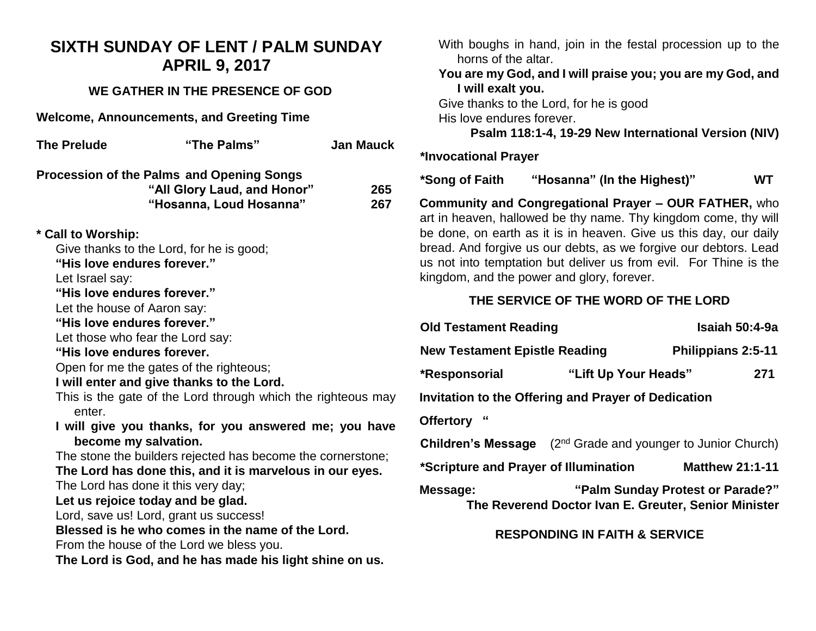# **SIXTH SUNDAY OF LENT / PALM SUNDAY APRIL 9, 2017**

## **WE GATHER IN THE PRESENCE OF GOD**

**Welcome, Announcements, and Greeting Time** 

| <b>The Prelude</b>          | "The Palms"                                                                                                | <b>Jan Mauck</b> |
|-----------------------------|------------------------------------------------------------------------------------------------------------|------------------|
|                             | <b>Procession of the Palms and Opening Songs</b><br>"All Glory Laud, and Honor"<br>"Hosanna, Loud Hosanna" | 265<br>267       |
| * Call to Worship:          |                                                                                                            |                  |
|                             | Give thanks to the Lord, for he is good;                                                                   |                  |
| "His love endures forever." |                                                                                                            |                  |
| Let Israel say:             |                                                                                                            |                  |
| "His love endures forever." |                                                                                                            |                  |
| Let the house of Aaron say: |                                                                                                            |                  |
| "His love endures forever." |                                                                                                            |                  |
|                             | Let those who fear the Lord say:                                                                           |                  |
| "His love endures forever.  |                                                                                                            |                  |
|                             | Open for me the gates of the righteous;                                                                    |                  |
|                             | I will enter and give thanks to the Lord.                                                                  |                  |
| enter.                      | This is the gate of the Lord through which the righteous may                                               |                  |
|                             | I will give you thanks, for you answered me; you have<br>become my salvation.                              |                  |
|                             | The stone the builders rejected has become the cornerstone;                                                |                  |
|                             | The Lord has done this, and it is marvelous in our eyes.                                                   |                  |
|                             | The Lord has done it this very day;                                                                        |                  |
|                             | Let us rejoice today and be glad.                                                                          |                  |
|                             | Lord, save us! Lord, grant us success!                                                                     |                  |
|                             | Blessed is he who comes in the name of the Lord.                                                           |                  |
|                             | From the house of the Lord we bless you.                                                                   |                  |
|                             | The Lord is God, and he has made his light shine on us.                                                    |                  |

| With boughs in hand, join in the festal procession up to the |
|--------------------------------------------------------------|
| horns of the altar.                                          |
| You are my God, and I will praise you; you are my God, and   |
| I will exalt you.                                            |
| Give thanks to the Lord, for he is good                      |
| His love endures forever.                                    |

**Psalm 118:1-4, 19-29 New International Version (NIV)**

#### **\*Invocational Prayer**

**\*Song of Faith "Hosanna" (In the Highest)" WT**

**Community and Congregational Prayer – OUR FATHER,** who art in heaven, hallowed be thy name. Thy kingdom come, thy will be done, on earth as it is in heaven. Give us this day, our daily bread. And forgive us our debts, as we forgive our debtors. Lead us not into temptation but deliver us from evil. For Thine is the kingdom, and the power and glory, forever.

## **THE SERVICE OF THE WORD OF THE LORD**

| <b>Old Testament Reading</b>                                                                         |                      | Isaiah 50:4-9a            |  |  |
|------------------------------------------------------------------------------------------------------|----------------------|---------------------------|--|--|
| <b>New Testament Epistle Reading</b>                                                                 |                      | <b>Philippians 2:5-11</b> |  |  |
| *Responsorial                                                                                        | "Lift Up Your Heads" | 271                       |  |  |
| Invitation to the Offering and Prayer of Dedication                                                  |                      |                           |  |  |
| <b>Offertory</b>                                                                                     |                      |                           |  |  |
| <b>Children's Message</b> $(2^{nd}$ Grade and younger to Junior Church)                              |                      |                           |  |  |
| *Scripture and Prayer of Illumination                                                                |                      | <b>Matthew 21:1-11</b>    |  |  |
| "Palm Sunday Protest or Parade?"<br>Message:<br>The Reverend Doctor Ivan E. Greuter, Senior Minister |                      |                           |  |  |
| <b>RESPONDING IN FAITH &amp; SERVICE</b>                                                             |                      |                           |  |  |